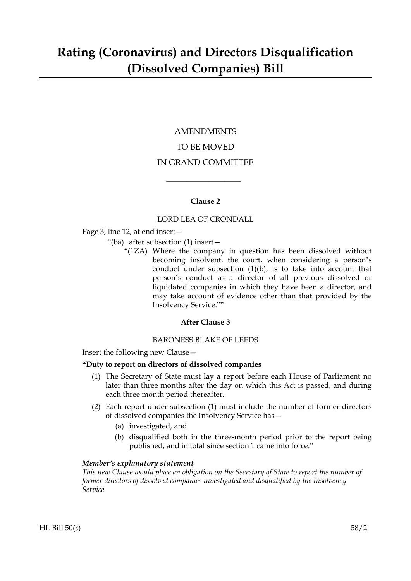### AMENDMENTS TO BE MOVED IN GRAND COMMITTEE

#### **Clause 2**

 $\overline{\phantom{a}}$  , where  $\overline{\phantom{a}}$ 

#### LORD LEA OF CRONDALL

Page 3, line 12, at end insert—

- "(ba) after subsection (1) insert—
	- "(1ZA) Where the company in question has been dissolved without becoming insolvent, the court, when considering a person's conduct under subsection  $(1)(b)$ , is to take into account that person's conduct as a director of all previous dissolved or liquidated companies in which they have been a director, and may take account of evidence other than that provided by the Insolvency Service.""

#### **After Clause 3**

#### BARONESS BLAKE OF LEEDS

Insert the following new Clause—

#### **"Duty to report on directors of dissolved companies**

- (1) The Secretary of State must lay a report before each House of Parliament no later than three months after the day on which this Act is passed, and during each three month period thereafter.
- (2) Each report under subsection (1) must include the number of former directors of dissolved companies the Insolvency Service has—
	- (a) investigated, and
	- (b) disqualified both in the three-month period prior to the report being published, and in total since section 1 came into force."

#### *Member's explanatory statement*

*This new Clause would place an obligation on the Secretary of State to report the number of former directors of dissolved companies investigated and disqualified by the Insolvency Service.*